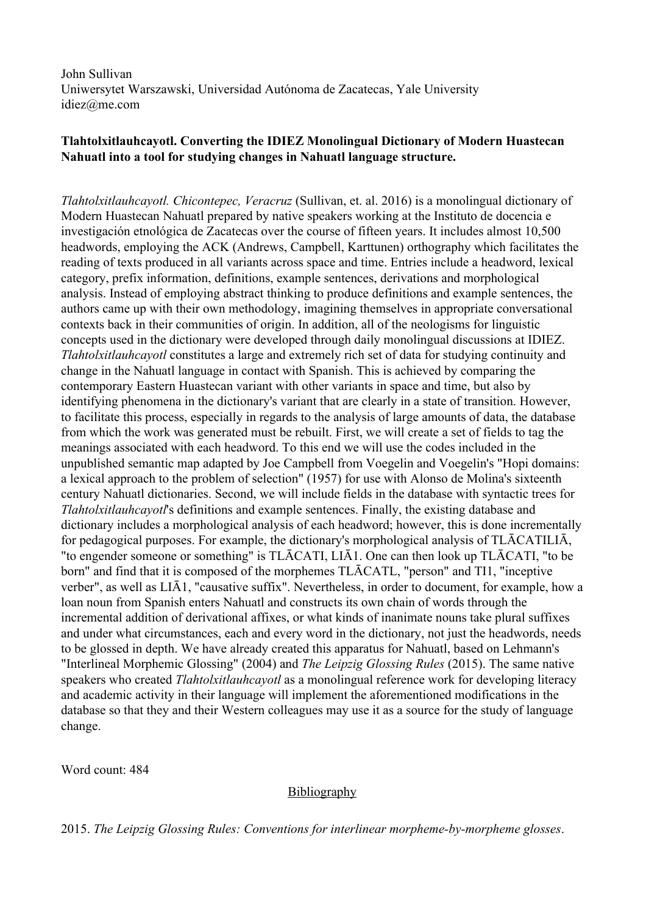John Sullivan Uniwersytet Warszawski, Universidad Autónoma de Zacatecas, Yale University idiez@me.com

## **Tlahtolxitlauhcayotl. Converting the IDIEZ Monolingual Dictionary of Modern Huastecan Nahuatl into a tool for studying changes in Nahuatl language structure.**

*Tlahtolxitlauhcayotl. Chicontepec, Veracruz* (Sullivan, et. al. 2016) is a monolingual dictionary of Modern Huastecan Nahuatl prepared by native speakers working at the Instituto de docencia e investigación etnológica de Zacatecas over the course of fifteen years. It includes almost 10,500 headwords, employing the ACK (Andrews, Campbell, Karttunen) orthography which facilitates the reading of texts produced in all variants across space and time. Entries include a headword, lexical category, prefix information, definitions, example sentences, derivations and morphological analysis. Instead of employing abstract thinking to produce definitions and example sentences, the authors came up with their own methodology, imagining themselves in appropriate conversational contexts back in their communities of origin. In addition, all of the neologisms for linguistic concepts used in the dictionary were developed through daily monolingual discussions at IDIEZ. *Tlahtolxitlauhcayotl* constitutes a large and extremely rich set of data for studying continuity and change in the Nahuatl language in contact with Spanish. This is achieved by comparing the contemporary Eastern Huastecan variant with other variants in space and time, but also by identifying phenomena in the dictionary's variant that are clearly in a state of transition. However, to facilitate this process, especially in regards to the analysis of large amounts of data, the database from which the work was generated must be rebuilt. First, we will create a set of fields to tag the meanings associated with each headword. To this end we will use the codes included in the unpublished semantic map adapted by Joe Campbell from Voegelin and Voegelin's "Hopi domains: a lexical approach to the problem of selection" (1957) for use with Alonso de Molina's sixteenth century Nahuatl dictionaries. Second, we will include fields in the database with syntactic trees for *Tlahtolxitlauhcayotl*'s definitions and example sentences. Finally, the existing database and dictionary includes a morphological analysis of each headword; however, this is done incrementally for pedagogical purposes. For example, the dictionary's morphological analysis of TLĀCATILIĀ, "to engender someone or something" is TLĀCATI, LIĀ1. One can then look up TLĀCATI, "to be born" and find that it is composed of the morphemes TLĀCATL, "person" and TI1, "inceptive verber", as well as LIĀ1, "causative suffix". Nevertheless, in order to document, for example, how a loan noun from Spanish enters Nahuatl and constructs its own chain of words through the incremental addition of derivational affixes, or what kinds of inanimate nouns take plural suffixes and under what circumstances, each and every word in the dictionary, not just the headwords, needs to be glossed in depth. We have already created this apparatus for Nahuatl, based on Lehmann's "Interlineal Morphemic Glossing" (2004) and *The Leipzig Glossing Rules* (2015). The same native speakers who created *Tlahtolxitlauhcayotl* as a monolingual reference work for developing literacy and academic activity in their language will implement the aforementioned modifications in the database so that they and their Western colleagues may use it as a source for the study of language change.

Word count: 484

## Bibliography

2015. *The Leipzig Glossing Rules: Conventions for interlinear morphemebymorpheme glosses*.